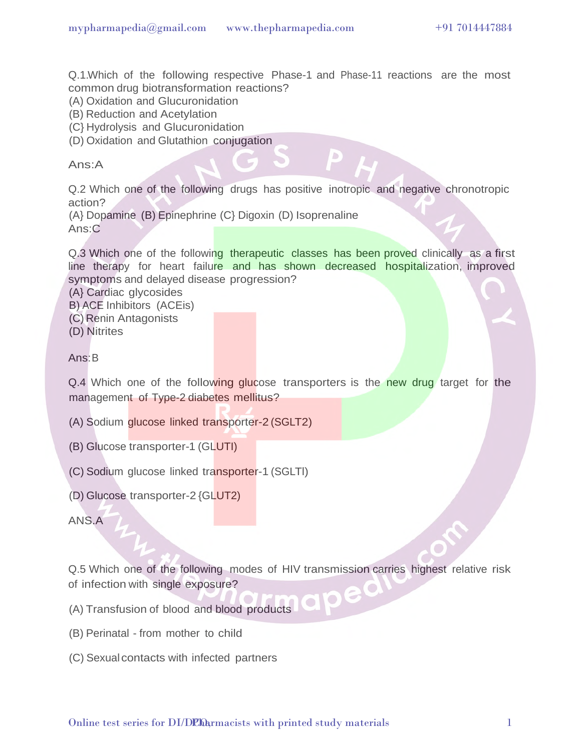Q.1.Which of the following respective Phase-1 and Phase-11 reactions are the most common drug biotransformation reactions?

(A) Oxidation and Glucuronidation

(B) Reduction and Acetylation

(C} Hydrolysis and Glucuronidation

(D) Oxidation and Glutathion conjugation

Ans:A

Q.2 Which one of the following drugs has positive inotropic and negative chronotropic action?

(A} Dopamine (B) Epinephrine (C} Digoxin (D) Isoprenaline Ans:C

Q.3 Which one of the following therapeutic classes has been proved clinically as a first line therapy for heart failure and has shown decreased hospitalization, improved symptoms and delayed disease progression?

(A} Cardiac glycosides

B) ACE Inhibitors (ACEis)

- (C) Renin Antagonists
- (D) Nitrites

Ans:B

Q.4 Which one of the following glucose transporters is the new drug target for the management of Type-2 diabetes mellitus?

- (A) Sodium glucose linked transporter-2 (SGLT2)
- (B) Glucose transporter-1 (GLUTI)
- (C) Sodium glucose linked transporter-1 (SGLTl)
- (D) Glucose transporter-2 {GLUT2)

ANS.A

Q.5 Which one of the following modes of HIV transmission carries highest relative risk of infection with single exposure?

(A) Transfusion of blood and blood products

- (B) Perinatal from mother to child
- (C) Sexual contacts with infected partners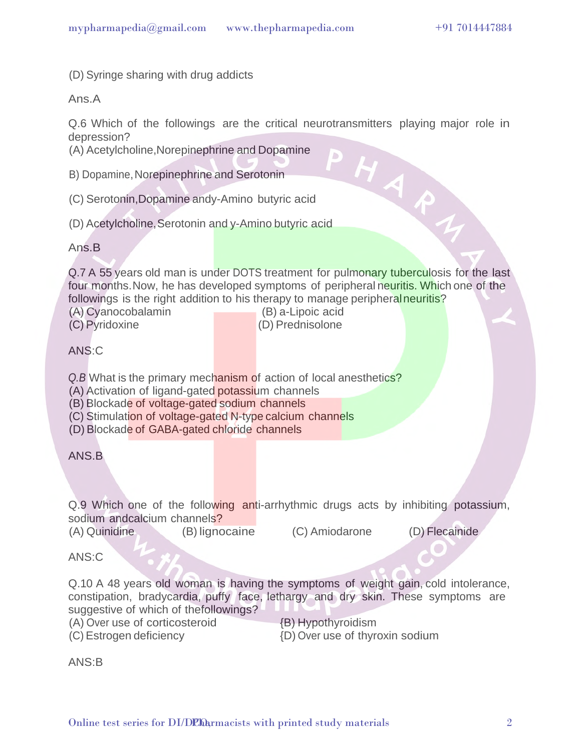(D) Syringe sharing with drug addicts

Ans.A

Q.6 Which of the followings are the critical neurotransmitters playing major role in depression? HARN

D

(A) Acetylcholine,Norepinephrine and Dopamine

- B) Dopamine, Norepinephrine and Serotonin
- (C) Serotonin,Dopamine andy-Amino butyric acid
- (D) Acetylcholine,Serotonin and y-Amino butyric acid

Ans.B

Q.7 A 55 years old man is under DOTS treatment for pulmonary tuberculosis for the last four months. Now, he has developed symptoms of peripheral neuritis. Which one of the followings is the right addition to his therapy to manage peripheral neuritis?

- 
- 

(A) Cyanocobalamin (B) a-Lipoic acid (C) Pyridoxine (D) Prednisolone

ANS:C

*Q.B* What is the primary mechanism of action of local anesthetics?

- (A) Activation of ligand-gated potassium channels
- (B) Blockade of voltage-gated sodium channels
- (C) Stimulation of voltage-gated N-type calcium channels
- (D) Blockade of GABA-gated chloride channels

ANS<sub>B</sub>

Q.9 Which one of the following anti-arrhythmic drugs acts by inhibiting potassium, sodium andcalcium channels?

(A) Quinidine (B) lignocaine (C) Amiodarone (D) Flecainide

ANS:C

Q.10 A 48 years old woman is having the symptoms of weight gain, cold intolerance, constipation, bradycardia, puffy face, lethargy and dry skin. These symptoms are suggestive of which of thefollowings?

(A) Over use of corticosteroid

(C) Estrogen deficiency

{B) Hypothyroidism {D) Over use of thyroxin sodium

ANS:B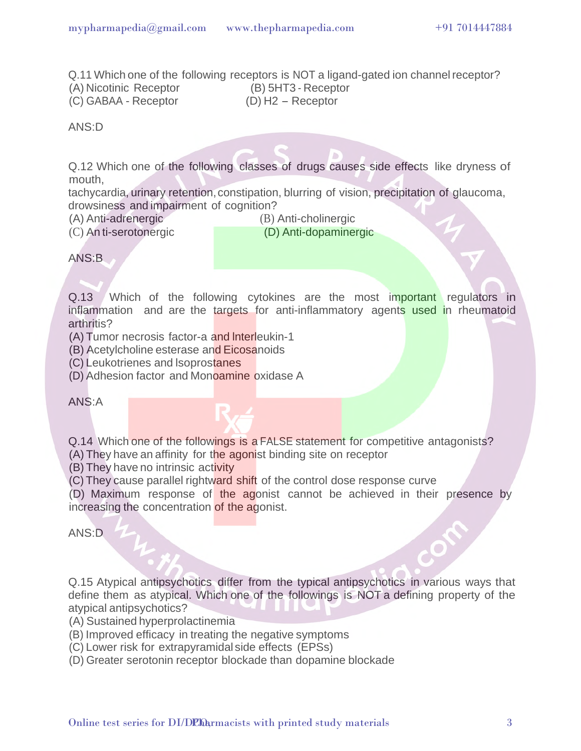Q.11 Which one of the following receptors is NOT a ligand-gated ion channel receptor? (A) Nicotinic Receptor (B) 5HT3 - Receptor (C) GABAA - Receptor (D) H2 - Receptor

ANS:D

Q.12 Which one of the following classes of drugs causes side effects like dryness of mouth,

tachycardia, urinary retention, constipation, blurring of vision, precipitation of glaucoma, drowsiness and impairment of cognition?

(A) Anti-adrenergic (B) Anti-cholinergic

(C) An ti-serotonergic (D) Anti-dopaminergic

ANS:B

Q.13 Which of the following cytokines are the most important regulators in inflammation and are the targets for anti-inflammatory agents used in rheumatoid arthritis?

(A) Tumor necrosis factor-a and lnterleukin-1

(B) Acetylcholine esterase and Eicosanoids

(C) Leukotrienes and lsoprostanes

(D) Adhesion factor and Monoamine oxidase A

ANS:A

Q.14 Which one of the followings is a FALSE statement for competitive antagonists?

(A) They have an affinity for the agonist binding site on receptor

(B) They have no intrinsic activity

(C) They cause parallel rightward shift of the control dose response curve

(D) Maximum response of the agonist cannot be achieved in their presence by increasing the concentration of the agonist.

ANS:D

Q.15 Atypical antipsychotics differ from the typical antipsychotics in various ways that define them as atypical. Which one of the followings is NOT a defining property of the atypical antipsychotics?

(A) Sustained hyperprolactinemia

(B) Improved efficacy in treating the negative symptoms

(C) Lower risk for extrapyramidal side effects (EPSs)

(D) Greater serotonin receptor blockade than dopamine blockade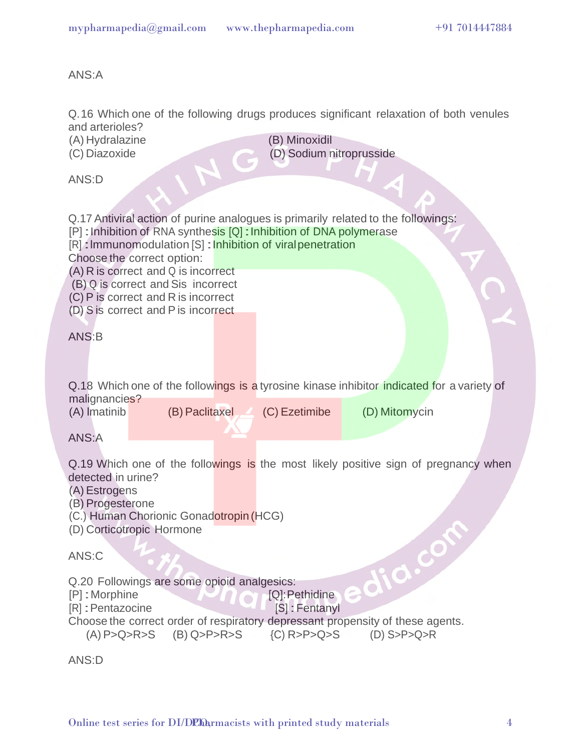ANS:A

|  | and arterioles?                                                                                 | Q.16 Which one of the following drugs produces significant relaxation of both venules      |
|--|-------------------------------------------------------------------------------------------------|--------------------------------------------------------------------------------------------|
|  | (A) Hydralazine                                                                                 | (B) Minoxidil                                                                              |
|  | (C) Diazoxide                                                                                   | (D) Sodium nitroprusside                                                                   |
|  | ANS:D                                                                                           |                                                                                            |
|  |                                                                                                 |                                                                                            |
|  |                                                                                                 |                                                                                            |
|  | Q.17 Antiviral action of purine analogues is primarily related to the followings:               |                                                                                            |
|  | [P]: Inhibition of RNA synthesis [Q]: Inhibition of DNA polymerase                              |                                                                                            |
|  | [R]: Immunomodulation [S]: Inhibition of viral penetration<br>Choose the correct option:        |                                                                                            |
|  | (A) R is correct and Q is incorrect                                                             |                                                                                            |
|  | (B) Q is correct and Sis incorrect                                                              |                                                                                            |
|  | (C) P is correct and R is incorrect                                                             |                                                                                            |
|  | (D) S is correct and P is incorrect                                                             |                                                                                            |
|  | ANS:B                                                                                           |                                                                                            |
|  |                                                                                                 |                                                                                            |
|  |                                                                                                 |                                                                                            |
|  |                                                                                                 |                                                                                            |
|  | malignancies?                                                                                   | Q.18 Which one of the followings is a tyrosine kinase inhibitor indicated for a variety of |
|  | (B) Paclitaxel<br>(A) Imatinib                                                                  | (C) Ezetimibe<br>(D) Mitomycin                                                             |
|  |                                                                                                 |                                                                                            |
|  | ANS:A                                                                                           |                                                                                            |
|  |                                                                                                 | Q.19 Which one of the followings is the most likely positive sign of pregnancy when        |
|  | detected in urine?                                                                              |                                                                                            |
|  | (A) Estrogens                                                                                   |                                                                                            |
|  | (B) Progesterone                                                                                |                                                                                            |
|  | (C.) Human Chorionic Gonadotropin (HCG)                                                         |                                                                                            |
|  | (D) Corticotropic Hormone                                                                       |                                                                                            |
|  | ANS:C                                                                                           | dia.col                                                                                    |
|  |                                                                                                 |                                                                                            |
|  | Q.20 Followings are some opioid analgesics:                                                     |                                                                                            |
|  | [P]: Morphine<br>[R] : Pentazocine                                                              | [Q]: Pethidine                                                                             |
|  | [S]: Fentanyl<br>Choose the correct order of respiratory depressant propensity of these agents. |                                                                                            |
|  | $(A)$ P>Q>R>S<br>$(B)$ Q>P>R>S                                                                  | $(C)$ R>P>Q>S<br>$(D)$ S>P>Q>R                                                             |
|  |                                                                                                 |                                                                                            |
|  | ANS:D                                                                                           |                                                                                            |
|  |                                                                                                 |                                                                                            |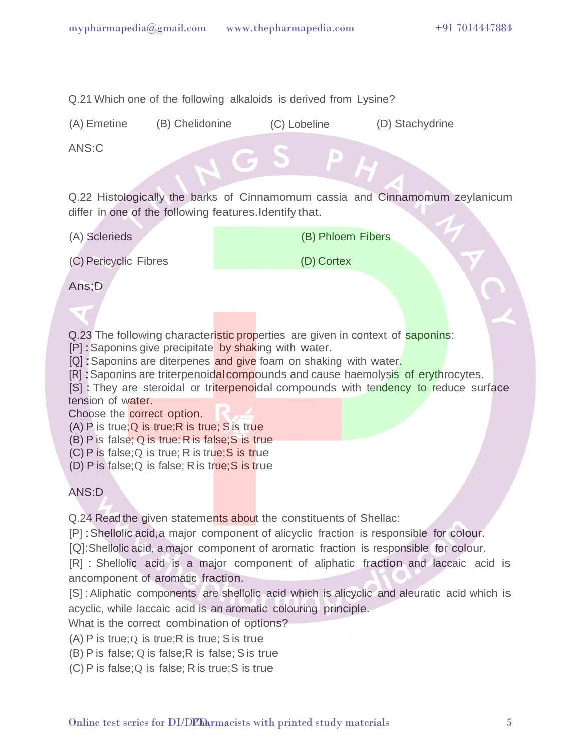Q.21 Which one of the following alkaloids is derived from Lysine?

(A) Emetine (B) Chelidonine (C) Lobeline (D) Stachydrine

ANS:C

Q.22 Histologically the barks of Cinnamomum cassia and Cinnamomum zeylanicum differ in one of the following features.Identify that.

(A) Sclerieds

(B) Phloem Fibers

(C) Pericyclic Fibres

(D) Cortex

Ans;D

Q.23 The following characteristic properties are given in context of saponins:

[P] : Saponins give precipitate by shaking with water.

[Q] : Saponins are diterpenes and give foam on shaking with water.

[R] : Saponins are triterpenoidal compounds and cause haemolysis of erythrocytes.

[S] : They are steroidal or triterpenoidal compounds with tendency to reduce surface tension of water.

Choose the correct option.

(A) P is true; Q is true; R is true; S is true

(B) P is false; Q is true; R is false;S is true

 $(C)$  P is false; Q is true; R is true; S is true

(D) P is false; Q is false; R is true; S is true

ANS:D

Q.24 Read the given statements about the constituents of Shellac:

[P] :Shellolic acid,a major component of alicyclic fraction is responsible for colour.

[Q]:Shellolic acid, a major component of aromatic fraction is responsible for colour.

[R] : Shellolic acid is a major component of aliphatic fraction and laccaic acid is ancomponent of aromatic fraction.

[S] : Aliphatic components are shellolic acid which is alicyclic and aleuratic acid which is acyclic, while laccaic acid is an aromatic colouring principle.

What is the correct combination of options?

 $(A)$  P is true; O is true; R is true; S is true

(B) P is false; Q is false;R is false; S is true

(C) P is false;Q is false; R is true;S is true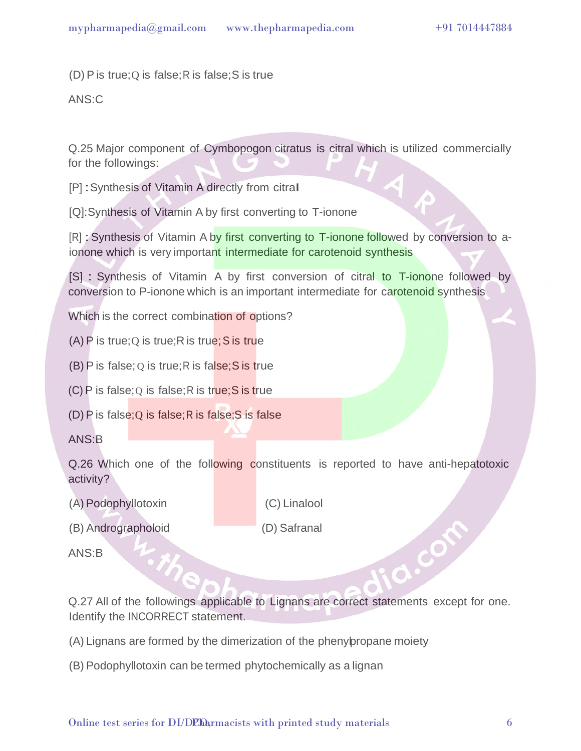$(D)$  P is true; Q is false; R is false; S is true

ANS:C

Q.25 Major component of Cymbopogon citratus is citral which is utilized commercially for the followings:

[P] :Synthesis of Vitamin A directly from citraI

[Q]:Synthesis of Vitamin A by first converting to T-ionone

[R] : Synthesis of Vitamin A by first converting to T-ionone followed by conversion to aionone which is very important intermediate for carotenoid synthesis

[S] : Synthesis of Vitamin A by first conversion of citral to T-ionone followed by conversion to P-ionone which is an important intermediate for carotenoid synthesis

Which is the correct combination of options?

(A) P is true; Q is true; R is true; S is true

 $(B)$  P is false; Q is true; R is false; S is true

 $(C)$  P is false; Q is false; R is true; S is true

(D) P is false; Q is false; R is false; S is false

ANS:B

Q.26 Which one of the following constituents is reported to have anti-hepatotoxic activity?

- (A) Podophyllotoxin
- (B) Andrographoloid

(C) Linalool (D) Safranal

ANS:B

Q.27 All of the followings applicable to Lignans are correct statements except for one. Identify the INCORRECT statement.

- (A) Lignans are formed by the dimerization of the phenylpropane moiety
- (B) Podophyllotoxin can be termed phytochemically as a lignan

J.Com

Ô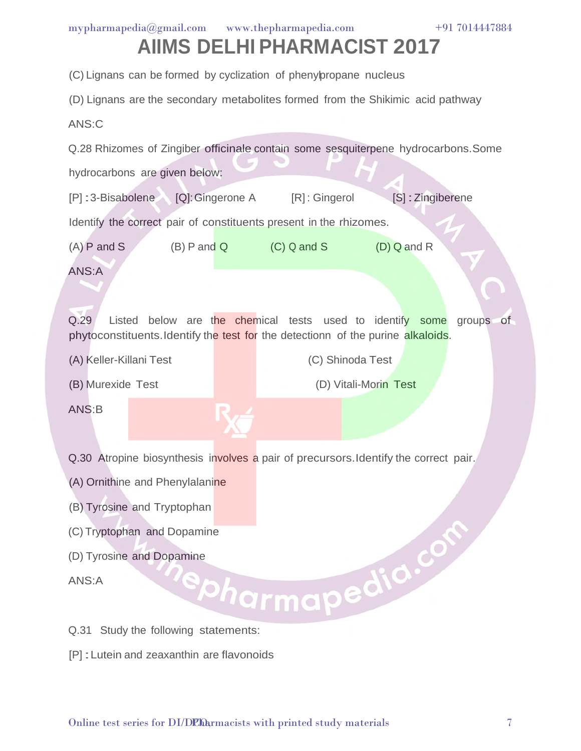|  |  | mypharmapedia@gmail.com www.thepharmapedia.com | +91 7014447884 |
|--|--|------------------------------------------------|----------------|
|--|--|------------------------------------------------|----------------|

(C) Lignans can be formed by cyclization of phenylpropane nucleus

(D) Lignans are the secondary metabolites formed from the Shikimic acid pathway

ANS:C

Q.28 Rhizomes of Zingiber officinale contain some sesquiterpene hydrocarbons.Some hydrocarbons are given below:

[P] : 3-Bisabolene [Q]: Gingerone A [R] : Gingerol [S] : Zingiberene

Identify the correct pair of constituents present in the rhizomes.

(A) P and S  $(B)$  P and Q  $(C)$  Q and S  $(D)$  Q and R

ANS:A

Q.29 Listed below are the chemical tests used to identify some groups of phytoconstituents.Identify the test for the detectionn of the purine alkaloids.

(A) Keller-Killani Test

(C) Shinoda Test

(B) Murexide Test

(D) Vitali-Morin Test

ANS:B

Q.30 Atropine biosynthesis involves a pair of precursors. Identify the correct pair.

- (A) Ornithine and Phenylalanine
- 
- (C) Tryptophan and Dopamine
- (D) Tyrosine and Dopamine

ANS:A

- (B) Tyrosine and Tryptophan<br>
(C) Tryptophan and Dopamine<br>
ANS:A<br>
Q.31 Study the following Q.31 Study the following statements:
- [P] :Lutein and zeaxanthin are flavonoids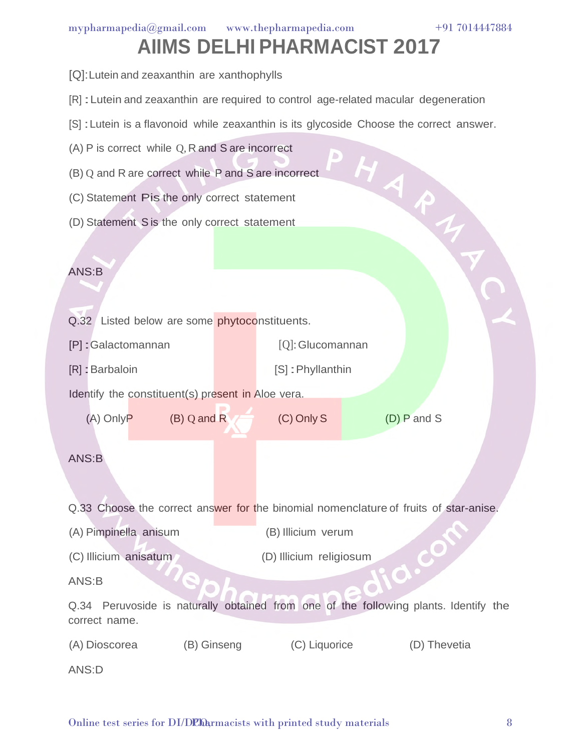- [Q]:Lutein and zeaxanthin are xanthophylls
- [R] :Lutein and zeaxanthin are required to control age-related macular degeneration
- [S] : Lutein is a flavonoid while zeaxanthin is its glycoside Choose the correct answer.
- (A) P is correct while Q, R and S are incorrect
- (B) Q and R are correct while P and S are incorrect
- (C) Statement Pis the only correct statement
- (D) Statement S is the only correct statement

#### ANS:B

|  |  |  | Q.32 Listed below are some phytoconstituents. |
|--|--|--|-----------------------------------------------|
|  |  |  |                                               |

[P] :Galactomannan

[Q]: Glucomannan

- [R] : Barbaloin [S] :Phyllanthin
- Identify the constituent(s) present in Aloe vera.
- (A) Only P (B) Q and R  $\qquad$  (C) Only S (D) P and S

HARA

#### ANS:B

Q.33 Choose the correct answer for the binomial nomenclature of fruits of star-anise.

- (A) Pimpinella anisum (B) Illicium verum
- (C) Illicium anisatum (D) Illicium religiosum

#### ANS:B

Q.34 Peruvoside is naturally obtained from one of the following plants. Identify the correct name.

(A) Dioscorea (B) Ginseng (C) Liquorice (D) Thevetia

ANS:D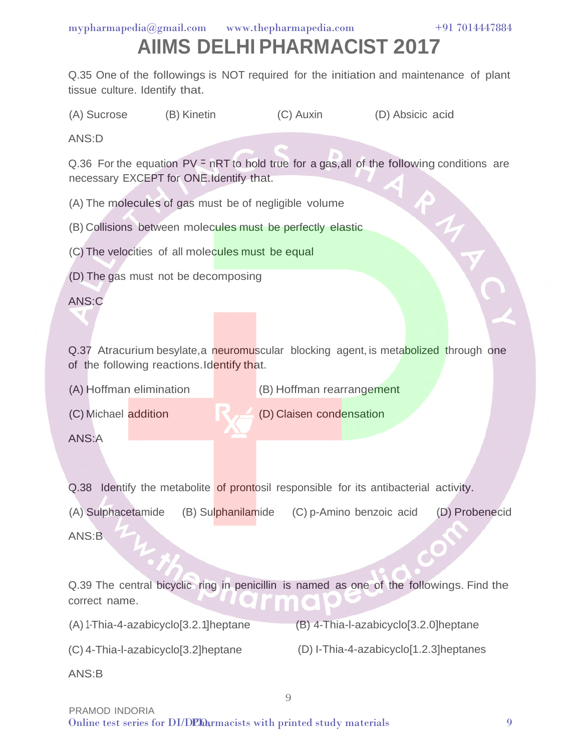## **AIIMS DELHI PHARMACIST 2017**

Q.35 One of the followings is NOT required for the initiation and maintenance of plant tissue culture. Identify that.

(A) Sucrose (B) Kinetin (C) Auxin (D) Absicic acid

ANS:D

Q.36 For the equation  $PV = nRT$  to hold true for a gas, all of the following conditions are necessary EXCEPT for ONE.Identify that.

(A) The molecules of gas must be of negligible volume

(B) Collisions between molecules must be perfectly elastic

(C) The velocities of all molecules must be equal

(D) The gas must not be decomposing

ANS:C

Q.37 Atracurium besylate, a neuromuscular blocking agent, is metabolized through one of the following reactions.Identify that.

(D) Claisen condensation

(A) Hoffman elimination (B) Hoffman rearrangement

(C) Michael addition

ANS:A

Q.38 Identify the metabolite of prontosil responsible for its antibacterial activity.

(A) Sulphacetamide (B) Sulphanilamide (C) p-Amino benzoic acid (D) Probenecid ANS:B

Q.39 The central bicyclic ring in penicillin is named as one of the followings. Find the correct name.

9

(A) 1-Thia-4-azabicyclo[3.2.1]heptane

(B) 4-Thia-l-azabicyclo[3.2.0]heptane

(C) 4-Thia-l-azabicyclo[3.2]heptane

(D) I-Thia-4-azabicyclo[1.2.3]heptanes

ANS:B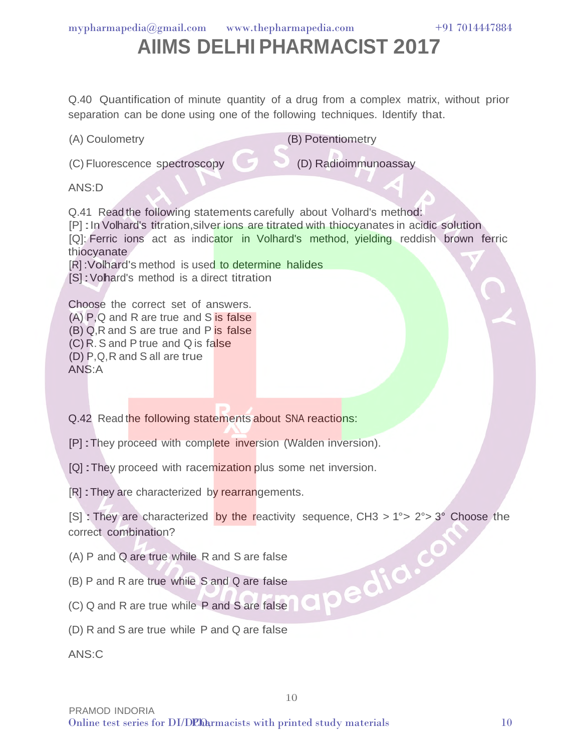## **AIIMS DELHI PHARMACIST 2017**

Q.40 Quantification of minute quantity of a drug from a complex matrix, without prior separation can be done using one of the following techniques. Identify that.

(C) Fluorescence spectroscopy

(B) Potentiometry

(D) Radioimmunoassay

ANS:D

(A) Coulometry

Q.41 Read the following statements carefully about Volhard's method: [P] : In Volhard's titration, silver ions are titrated with thiocyanates in acidic solution [Q]: Ferric ions act as indicator in Volhard's method, yielding reddish brown ferric thiocyanate [R] :Volhard's method is used to determine halides [S] : Vohard's method is a direct titration

Choose the correct set of answers. (A) P,Q and R are true and S is false (B) Q,R and S are true and P is false (C) R. S and P true and Q is false (D) P,Q, R and S all are true ANS:A

Q.42 Read the following statements about SNA reactions:

[P] :They proceed with complete inversion (Walden inversion).

[Q] : They proceed with racemization plus some net inversion.

[R] : They are characterized by rearrangements.

[S] : They are characterized by the reactivity sequence, CH3 >  $1^{\circ}$  >  $2^{\circ}$  > 3° Choose the correct combination? apedia.com

10

(A) P and Q are true while R and S are false

(B) P and R are true while S and Q are false

(C) Q and R are true while P and S are false

(D) R and S are true while P and Q are false

ANS:C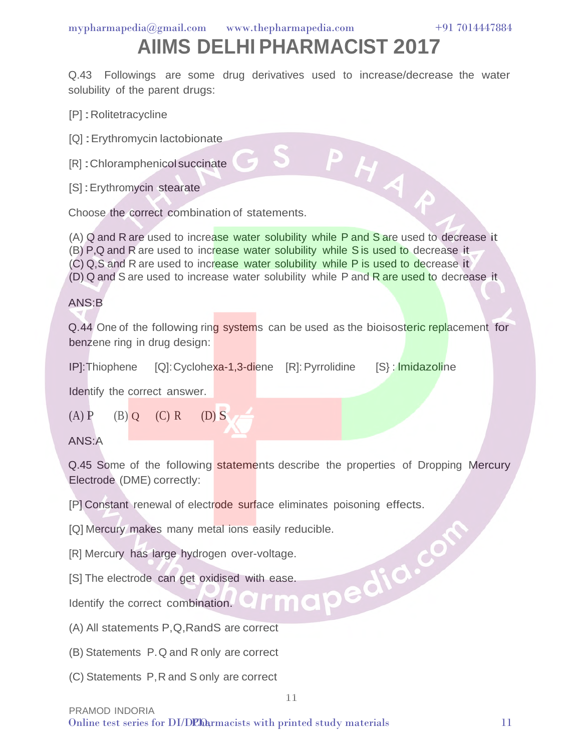Q.43 Followings are some drug derivatives used to increase/decrease the water solubility of the parent drugs:

PHAP

[P] : Rolitetracycline

[Q] :Erythromycin lactobionate

[R] : Chloramphenicol succinate

[S] : Erythromycin stearate

Choose the correct combination of statements.

(A) Q and R are used to increase water solubility while P and S are used to decrease it (B) P,Q and R are used to increase water solubility while S is used to decrease it (C) Q,S and R are used to increase water solubility while P is used to decrease it (D) Q and S are used to increase water solubility while P and R are used to decrease it

#### ANS:B

Q.44 One of the following ring systems can be used as the bioisosteric replacement for benzene ring in drug design:

IP]:Thiophene [Q]: Cyclohexa-1,3-diene [R]: Pyrrolidine [S} : lmidazoline

Identify the correct answer.

 $(A)$  P  $(B)$  Q  $(C)$  R  $(D)$  S

ANS:A

Q.45 Some of the following statements describe the properties of Dropping Mercury Electrode (DME) correctly:

11

[P] Constant renewal of electrode surface eliminates poisoning effects.

[Q] Mercury makes many metal ions easily reducible.<br>
[R] Mercury has large hydrogen over-voltage.<br>
[S] The electrode can get oxidised with ease.<br>
Identify the correct combination.<br>
(A) All statements

[R] Mercury has large hydrogen over-voltage.

[S] The electrode can get oxidised with ease.

Identify the correct combination.

(A) All statements P,Q,RandS are correct

(B) Statements P. Q and R only are correct

(C) Statements P, R and S only are correct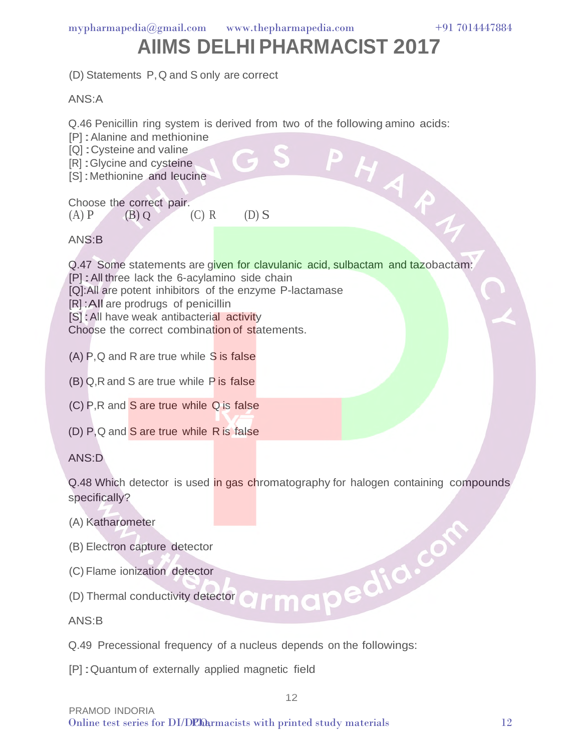

PHAP1

### **AIIMS DELHI PHARMACIST 2017**

(D) Statements P, Q and S only are correct

ANS:A

Q.46 Penicillin ring system is derived from two of the following amino acids:

[P] : Alanine and methionine

[Q] : Cysteine and valine

[R] : Glycine and cysteine

[S] : Methionine and leucine

Choose the correct pair. (A) P (B) Q (C) R (D) S

ANS:B

Q.47 Some statements are given for clavulanic acid, sulbactam and tazobactam: [P] : All three lack the 6-acylamino side chain [Q]:All are potent inhibitors of the enzyme P-lactamase [R] : All are prodrugs of penicillin [S] : All have weak antibacterial activity Choose the correct combination of statements.

- (A) P,Q and R are true while S is false
- (B) Q,R and S are true while P is false
- (C) P,R and S are true while Q is false
- (D) P,Q and S are true while R is false

ANS:D

Q.48 Which detector is used in gas chromatography for halogen containing compounds specifically?

12

- (A) Katharometer
- (B) Electron capture detector
- (C) Flame ionization detector
- (D) Thermal conductivity detector

ANS:B

- Q.49 Precessional frequency of a nucleus depends on the followings:
- [P] :Quantum of externally applied magnetic field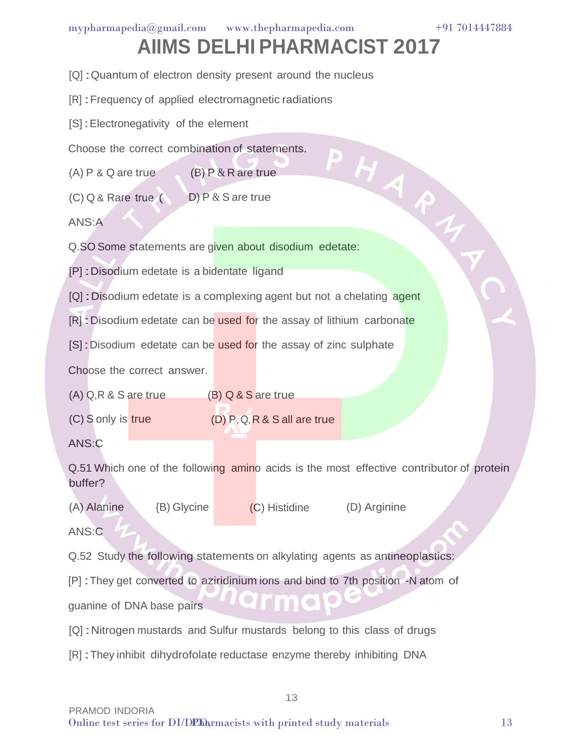[Q] : Quantum of electron density present around the nucleus

[R] :Frequency of applied electromagnetic radiations

[S] : Electronegativity of the element

Choose the correct combination of statements.

(A) P & Q are true (B) P & R are true

(C) Q & Rare true ( D) P & S are true

ANS:A

[S] : Erec.<br>
Choose the correct compute.<br>
(A) P & Q are true (B) P & R are true<br>
(C) Q & R are true (D) P & S are true<br>
ANS: A<br>
Q.SO Some statements are given about disodium edetate:

[P] :Disodium edetate is a bidentate ligand

[Q] : Disodium edetate is a complexing agent but not a chelating agent

[R] : Disodium edetate can be used for the assay of lithium carbonate

[S] : Disodium edetate can be used for the assay of zinc sulphate

Choose the correct answer.

(A) Q,R & S are true (B) Q & S are true

(C) S only is true

(D) P,Q, R & S all are true

ANS:C

Q.51 Which one of the following amino acids is the most effective contributor of protein buffer?

13

(A) Alanine {B) Glycine (C) Histidine (D) Arginine

ANS:C

Q.52 Study the following statements on alkylating agents as antineoplastics:

[P] :They get converted to aziridinium ions and bind to 7th position -N atom of

guanine of DNA base pairs

[Q] :Nitrogen mustards and Sulfur mustards belong to this class of drugs

[R] :They inhibit dihydrofolate reductase enzyme thereby inhibiting DNA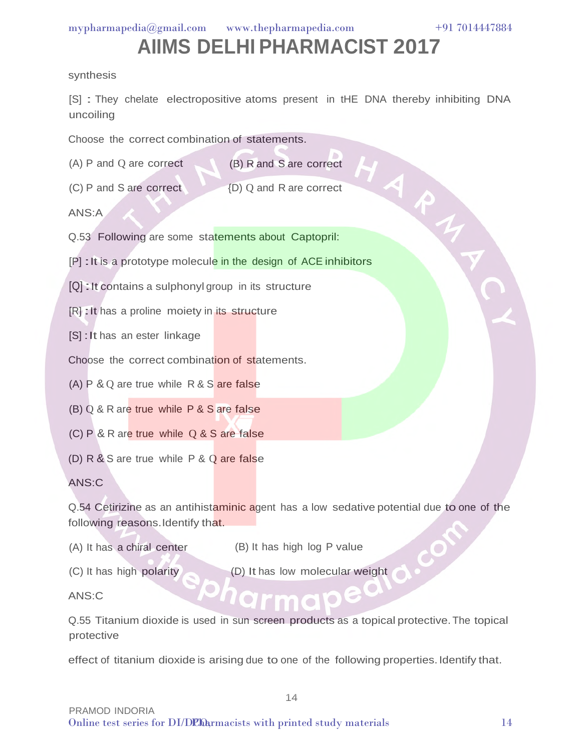### **AIIMS DELHI PHARMACIST 2017**

#### synthesis

[S] : They chelate electropositive atoms present in tHE DNA thereby inhibiting DNA uncoiling

Choose the correct combination of statements.

- (A) P and Q are correct (B) R and S are correct (A) P and Q are correct<br>
(C) P and S are correct<br>
ANS:A<br>
Q.53 Following are some statements about Captopril:<br>
[P] : It is a prototype molecule in the design of ACE inhibitors
- (C) P and S are correct {D) Q and R are correct

ANS:A

- Q.53 Following are some statements about Captopril:
- 
- [Q] :It contains a sulphonyl group in its structure
- [R] : It has a proline moiety in its structure
- [S] : It has an ester linkage

Choose the correct combination of statements.

- (A) P & Q are true while R & S are false
- (B) Q & R are true while P & S are false
- (C) P & R are true while Q & S are false
- (D) R & S are true while P & Q are false

ANS:C

Q.54 Cetirizine as an antihistaminic agent has a low sedative potential due to one of the following reasons. Identify that.

- (A) It has a chiral center
- (B) It has high log P value
- (C) It has high polarity

(D) It has low molecular weight

ANS:C

Q.55 Titanium dioxide is used in sun screen products as a topical protective.The topical protective

effect of titanium dioxide is arising due to one of the following properties. Identify that.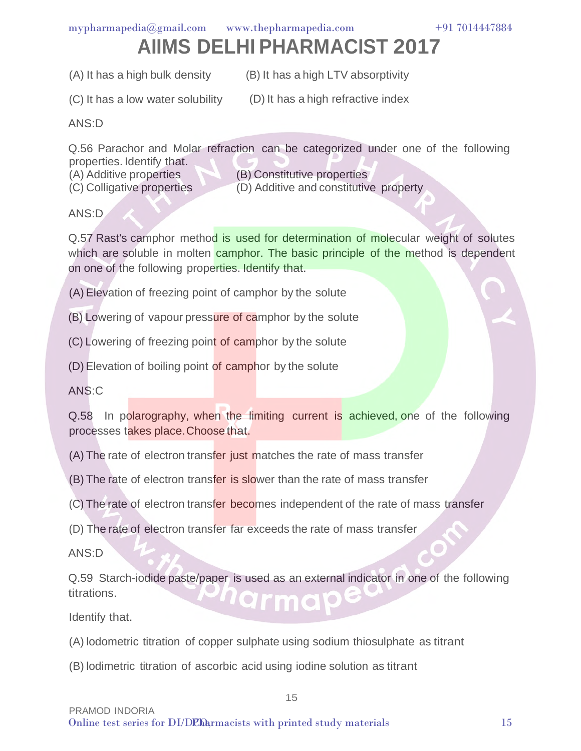### **AIIMS DELHI PHARMACIST 2017**

(A) It has a high bulk density (B) It has a high LTV absorptivity

(C) It has a low water solubility (D) It has a high refractive index

ANS:D

Q.56 Parachor and Molar refraction can be categorized under one of the following properties. Identify that. (A) Additive properties

(C) Colligative properties

(B) Constitutive properties

(D) Additive and constitutive property

ANS:D

Q.57 Rast's camphor method is used for determination of molecular weight of solutes which are soluble in molten camphor. The basic principle of the method is dependent on one of the following properties. Identify that.

(A) Elevation of freezing point of camphor by the solute

(B) Lowering of vapour pressure of camphor by the solute

(C) Lowering of freezing point of camphor by the solute

(D) Elevation of boiling point of camphor by the solute

ANS:C

Q.58 In polarography, when the limiting current is achieved, one of the following processes takes place.Choose that.

(A) The rate of electron transfer just matches the rate of mass transfer

(B) The rate of electron transfer is slower than the rate of mass transfer

(C) The rate of electron transfer becomes independent of the rate of mass transfer

(D) The rate of electron transfer far exceeds the rate of mass transfer

ANS:D

Q.59 Starch-iodide paste/paper is used as an external indicator in one of the following titrations. arm

15

Identify that.

(A) lodometric titration of copper sulphate using sodium thiosulphate as titrant

(B) lodimetric titration of ascorbic acid using iodine solution as titrant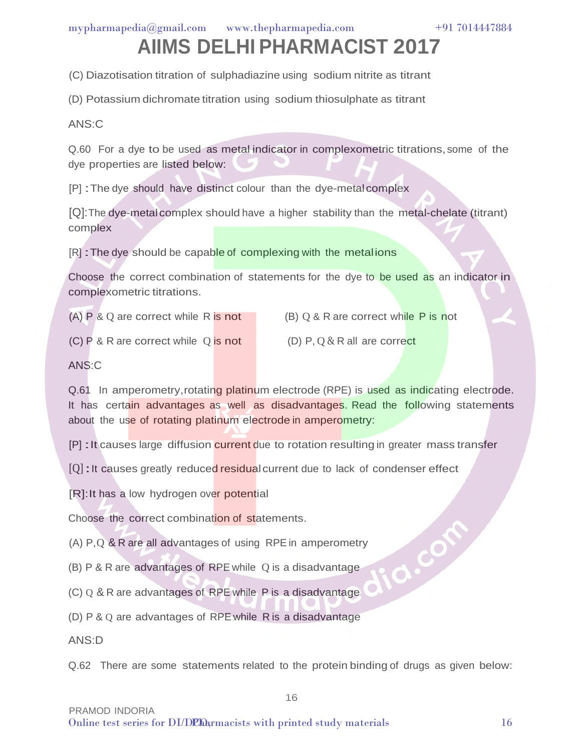## **AIIMS DELHI PHARMACIST 2017**

(C) Diazotisation titration of sulphadiazine using sodium nitrite as titrant

(D) Potassium dichromate titration using sodium thiosulphate as titrant

ANS:C

Q.60 For a dye to be used as metal indicator in complexometric titrations, some of the dye properties are listed below:

[P] :The dye should have distinct colour than the dye-metalcomplex

[Q]:The dye-metalcomplex should have a higher stability than the metal-chelate (titrant) complex

[R] : The dye should be capable of complexing with the metalions

Choose the correct combination of statements for the dye to be used as an indicator in complexometric titrations.

(A) P & Q are correct while R is not

 $(B)$  Q & R are correct while P is not

(C) P & R are correct while Q is not

(D) P,  $0 & R$  all are correct

ANS:C

Q.61 In amperometry, rotating platinum electrode (RPE) is used as indicating electrode. It has certain advantages as well as disadvantages. Read the following statements about the use of rotating platinum electrode in amperometry:

[P] : It causes large diffusion current due to rotation resulting in greater mass transfer

[Q] : It causes greatly reduced residual current due to lack of condenser effect

[R]: It has a low hydrogen over potential

Choose the correct combination of statements.

(A) P,Q & R are all advantages of using RPE in amperometry

(B) P & R are advantages of RPE while Q is a disadvantage

(C) Q & R are advantages of RPE while P is a disadvantage

(D) P & Q are advantages of RPE while R is a disadvantage

ANS:D

Q.62 There are some statements related to the protein binding of drugs as given below:

16

a.com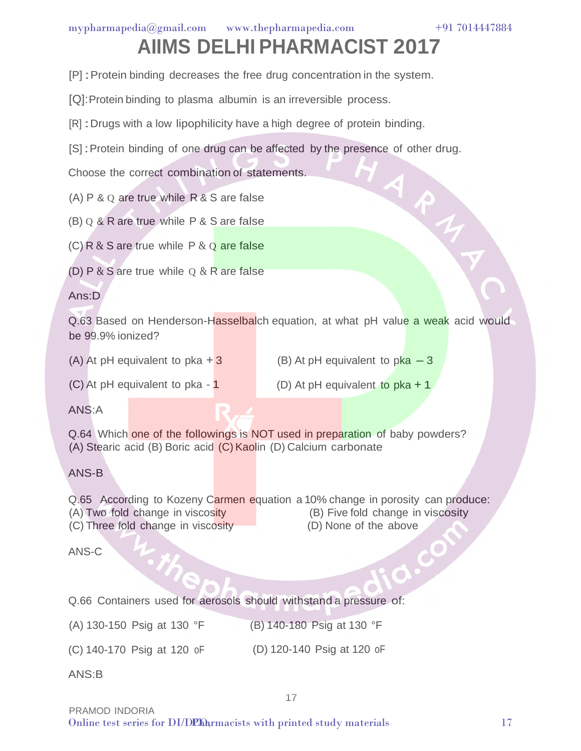APA

## **AIIMS DELHI PHARMACIST 2017**

- [P] :Protein binding decreases the free drug concentration in the system.
- [Q]: Protein binding to plasma albumin is an irreversible process.
- [R] : Drugs with a low lipophilicity have a high degree of protein binding.
- [S] : Protein binding of one drug can be affected by the presence of other drug.

Choose the correct combination of statements.

- (A) P & Q are true while R & S are false
- (B) Q & R are true while P & S are false

(C) R  $&$  S are true while P  $&$  Q are false

(D) P  $&$  S are true while Q  $&$  R are false

#### Ans:D

Q.63 Based on Henderson-Hasselbalch equation, at what pH value a weak acid would be 99.9% ionized?

(A) At pH equivalent to pka  $+3$ 

- (B) At pH equivalent to  $pka 3$
- (C) At pH equivalent to pka 1
- (D) At pH equivalent to pka + 1

 $\bigcirc$ 

ANS:A

Q.64 Which one of the followings is NOT used in preparation of baby powders? (A) Stearic acid (B) Boric acid (C) Kaolin (D) Calcium carbonate

ANS-B

Q.65 According to Kozeny Carmen equation a 10% change in porosity can produce: (A) Two fold change in viscosity (B) Five fold change in viscosity (C) Three fold change in viscosity (D) None of the above

ANS-C

Q.66 Containers used for aerosols should withstand a pressure of:

(A) 130-150 Psig at 130 °F (B) 140-180 Psig at 130 °F

(C) 140-170 Psig at 120 oF (D) 120-140 Psig at 120 oF

ANS:B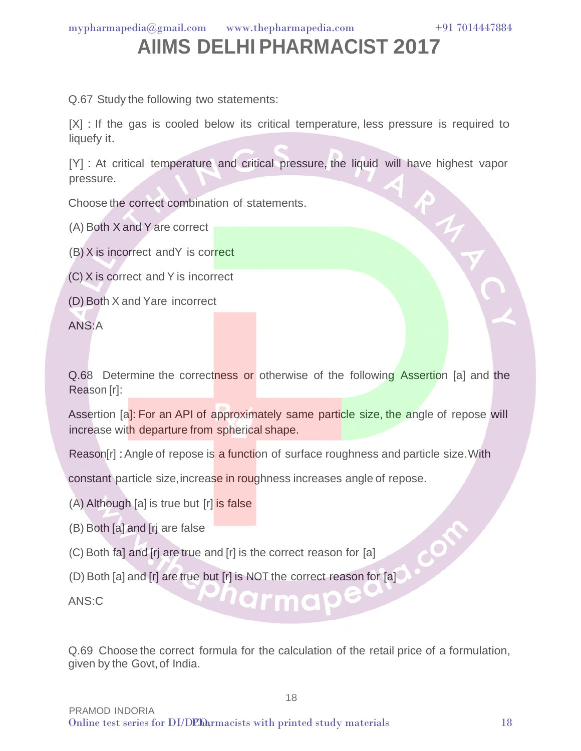### **AIIMS DELHI PHARMACIST 2017**

Q.67 Study the following two statements:

[X] : If the gas is cooled below its critical temperature, less pressure is required to liquefy it.

[Y] : At critical temperature and critical pressure, the liquid will have highest vapor pressure.

Choose the correct combination of statements.

(A) Both X and Y are correct

(B) X is incorrect andY is correct

(C) X is correct and Y is incorrect

(D) Both X and Yare incorrect

ANS:A

Q.68 Determine the correctness or otherwise of the following Assertion [a] and the Reason [r]:

Assertion [a]: For an API of approximately same particle size, the angle of repose will increase with departure from spherical shape.

Reason[r] : Angle of repose is a function of surface roughness and particle size. With

constant particle size, increase in roughness increases angle of repose.

(A) Although [a] is true but [r] is false

- (B) Both [a] and [rj are false
- (C) Both fa] and [rj are true and [r] is the correct reason for [a]
- (D) Both [a] and [r] are true but [r] is NOT the correct reason for [a]

 $\bullet$   $\bullet$ 

ANS:C

Q.69 Choose the correct formula for the calculation of the retail price of a formulation, given by the Govt, of India.

18

 $\mathcal{O}$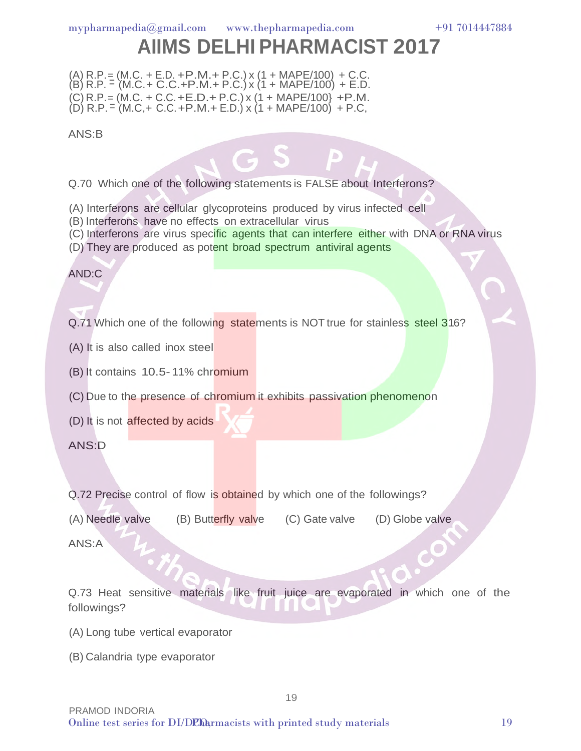$(A)$  R.P. = (M.C. + E.D. + P.M. + P.C.) x (1 + MAPE/100) + C.C. (B) R.P. = (M.C. + C.C.+P.M.+ P.C.) x (1 + MAPE/100) + E.D.  $(C)$  R.P. = (M.C. + C.C. + E.D. + P.C.) x (1 + MAPE/100} + P.M. (D) R.P. = (M.C,+ C.C.+P.M.+ E.D.) x (1 + MAPE/100) + P.C,

ANS:B

Q.70 Which one of the following statements is FALSE about Interferons?

(A) Interferons are cellular glycoproteins produced by virus infected cell

(B) Interferons have no effects on extracellular virus

(C) Interferons are virus specific agents that can interfere either with DNA or RNA virus

(D) They are produced as potent broad spectrum antiviral agents

AND:C

Q.71 Which one of the following statements is NOT true for stainless steel 316?

(A) It is also called inox steel

(B) It contains 10.5- 11% chromium

(C) Due to the presence of chromium it exhibits passivation phenomenon

(D) It is not affected by acids

ANS:D

Q.72 Precise control of flow is obtained by which one of the followings?

(A) Needle valve (B) Butterfly valve (C) Gate valve (D) Globe valve

ANS:A

Q.73 Heat sensitive materials like fruit juice are evaporated in which one of the followings?

19

(A) Long tube vertical evaporator

(B) Calandria type evaporator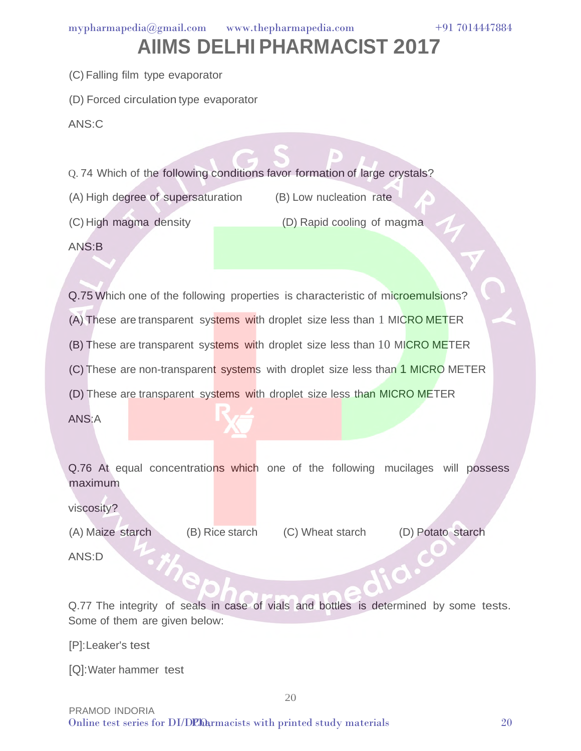#### **AIIMS DELHI PHARMACIST 2017**

(C) Falling film type evaporator

(D) Forced circulation type evaporator

ANS:C

Q. 74 Which of the following conditions favor formation of large crystals?

(A) High degree of supersaturation (B) Low nucleation rate

(C) High magma density (D) Rapid cooling of magma

ANS:B

Q.75 Which one of the following properties is characteristic of microemulsions?

(A) These are transparent systems with droplet size less than 1 MICRO METER

(B) These are transparent systems with droplet size less than 10 MICRO METER

(C) These are non-transparent systems with droplet size less than 1 MICRO METER

(D) These are transparent systems with droplet size less than MICRO METER

ANS:A

Q.76 At equal concentrations which one of the following mucilages will possess maximum

viscosity?

(A) Maize starch

(B) Rice starch (C) Wheat starch (D) Potato starch

ANS:D

Q.77 The integrity of seals in case of vials and bottles is determined by some tests. Some of them are given below:

20

[P]:Leaker's test

[Q]:Water hammer test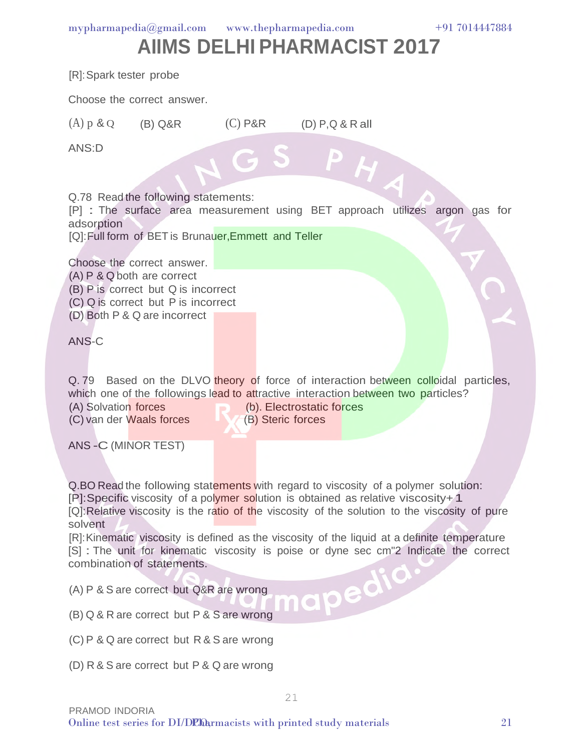#### **AIIMS DELHI PHARMACIST 2017**

| [R]: Spark tester probe                            |                                                                                                                                                                                                                                                                                                                                                                          |  |                                                |  |  |  |
|----------------------------------------------------|--------------------------------------------------------------------------------------------------------------------------------------------------------------------------------------------------------------------------------------------------------------------------------------------------------------------------------------------------------------------------|--|------------------------------------------------|--|--|--|
|                                                    | Choose the correct answer.                                                                                                                                                                                                                                                                                                                                               |  |                                                |  |  |  |
| $(A)$ p & Q $(B)$ Q&R                              |                                                                                                                                                                                                                                                                                                                                                                          |  | $(C)$ P&R $(D)$ P, Q & R all                   |  |  |  |
| ANS:D                                              |                                                                                                                                                                                                                                                                                                                                                                          |  |                                                |  |  |  |
| adsorption                                         | Q.78 Read the following statements:<br>[P] : The surface area measurement using BET approach utilizes argon gas for<br>[Q]: Full form of BET is Brunauer, Emmett and Teller                                                                                                                                                                                              |  |                                                |  |  |  |
| ANS-C                                              | Choose the correct answer.<br>(A) P & Q both are correct<br>(B) P is correct but Q is incorrect<br>(C) Q is correct but P is incorrect<br>(D) Both P & Q are incorrect                                                                                                                                                                                                   |  |                                                |  |  |  |
| (A) Solvation forces<br>ANS-C (MINOR TEST)         | Q.79 Based on the DLVO theory of force of interaction between colloidal particles,<br>which one of the followings lead to attractive interaction between two particles?<br>(C) van der Waals forces                                                                                                                                                                      |  | (b). Electrostatic forces<br>(B) Steric forces |  |  |  |
| solvent                                            | Q.BO Read the following statements with regard to viscosity of a polymer solution:<br>[P]: Specific viscosity of a polymer solution is obtained as relative viscosity+1<br>[Q]:Relative viscosity is the ratio of the viscosity of the solution to the viscosity of pure<br>[R]: Kinematic viscosity is defined as the viscosity of the liquid at a definite temperature |  |                                                |  |  |  |
|                                                    | [S] : The unit for kinematic viscosity is poise or dyne sec cm"2 Indicate the correct<br>combination of statements.                                                                                                                                                                                                                                                      |  |                                                |  |  |  |
| napedia<br>(A) P & S are correct but Q&R are wrong |                                                                                                                                                                                                                                                                                                                                                                          |  |                                                |  |  |  |
|                                                    | (B) Q & R are correct but P & S are wrong                                                                                                                                                                                                                                                                                                                                |  |                                                |  |  |  |
|                                                    | (C) P & Q are correct but R & S are wrong                                                                                                                                                                                                                                                                                                                                |  |                                                |  |  |  |
|                                                    | (D) R & S are correct but P & Q are wrong                                                                                                                                                                                                                                                                                                                                |  |                                                |  |  |  |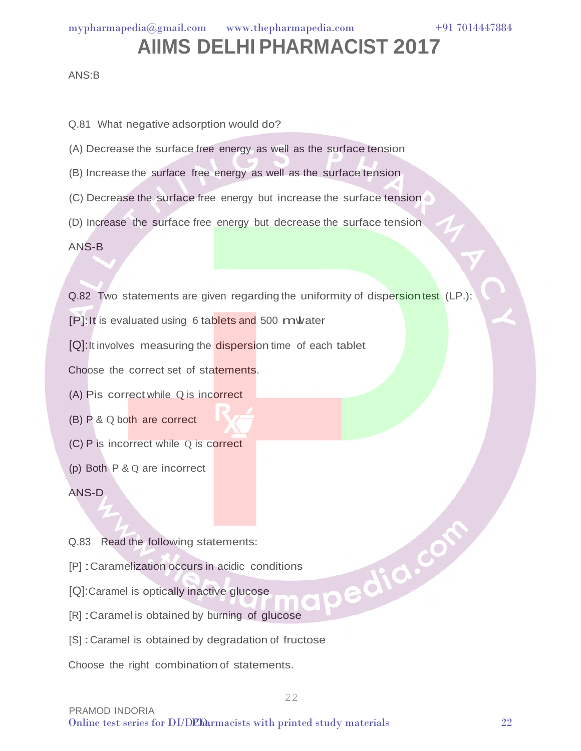#### **AIIMS DELHI PHARMACIST 2017**

#### ANS:B

Q.81 What negative adsorption would do?

- (A) Decrease the surface free energy as well as the surface tension
- (B) Increase the surface free energy as well as the surface tension
- (C) Decrease the surface free energy but increase the surface tension
- (D) Increase the surface free energy but decrease the surface tension

ANS-B

Q.82 Two statements are given regarding the uniformity of dispersion test (LP.):

[P]: It is evaluated using 6 tablets and 500 mwater

[Q]: It involves measuring the dispersion time of each tablet

Choose the correct set of statements.

- (A) Pis correct while Q is incorrect
- (B) P & Q both are correct
- (C) P is incorrect while Q is correct
- (p) Both P & Q are incorrect

ANS-D

- Q.83 Read the following statements:
- [P] :Caramelization occurs in acidic conditions ER] : Caramel is optically inactive glucose<br>
(R] : Caramel is obtained by burning of glucose<br>
(S] : Caramel is obtained by degradation of fructose
- [Q]:Caramel is optically inactive glucose
- [R] :Caramel is obtained by burning of glucose
- 

Choose the right combination of statements.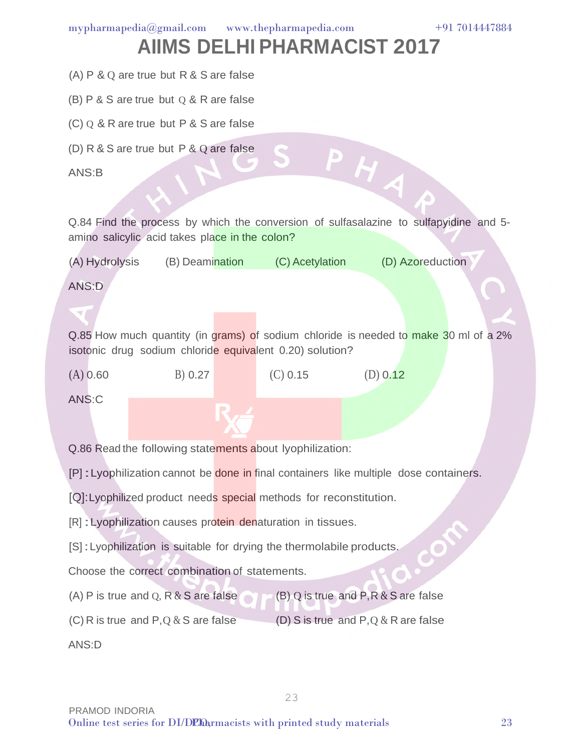- (A) P & Q are true but R & S are false
- (B)  $P$  & S are true but  $Q$  & R are false
- (C) Q & R are true but P & S are false
- (D) R & S are true but P & Q are false

ANS:B

Q.84 Find the process by which the conversion of sulfasalazine to sulfapyidine and 5 amino salicylic acid takes place in the colon?

PHA

(A) Hydrolysis (B) Deamination (C) Acetylation (D) Azoreduction

ANS:D

Q.85 How much quantity (in grams) of sodium chloride is needed to make 30 ml of a 2% isotonic drug sodium chloride equivalent 0.20) solution?

(A) 0.60 B) 0.27 (C) 0.15 (D) 0.12

ANS:C

Q.86 Read the following statements about Iyophilization:

[P] : Lyophilization cannot be done in final containers like multiple dose containers.

[Q]: Lyophilized product needs special methods for reconstitution.

[R] : Lyophilization causes protein denaturation in tissues.

[S] : Lyophilization is suitable for drying the thermolabile products.

Choose the correct combination of statements.

- (A) P is true and Q, R  $&$  S are false (B) Q is true and  $P, R & S$  are false
- (C) R is true and P, Q  $&$  S are false (D) S is true and P,Q & R are false

23

ANS:D

 $\bigcirc$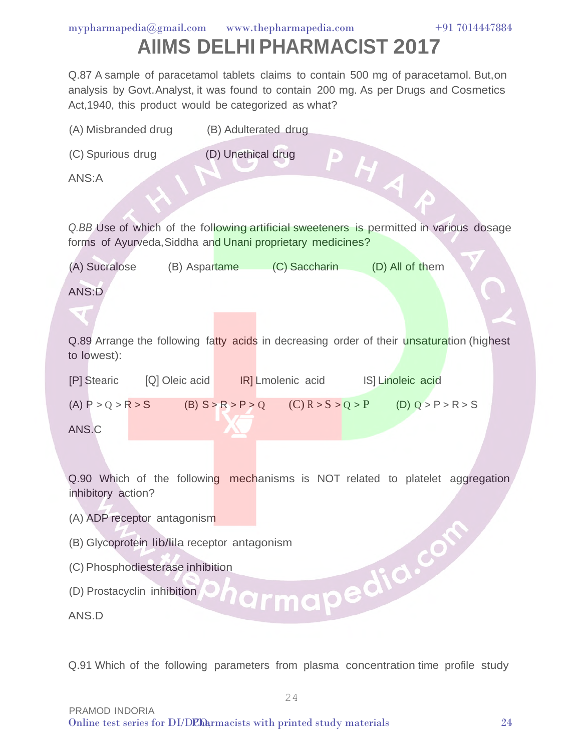# **AIIMS DELHI PHARMACIST 2017**

Q.87 A sample of paracetamol tablets claims to contain 500 mg of paracetamol. But,on analysis by Govt. Analyst, it was found to contain 200 mg. As per Drugs and Cosmetics Act,1940, this product would be categorized as what?

| (A) Misbranded drug (B) Adulterated drug                                                                                                              |  |  |  |  |
|-------------------------------------------------------------------------------------------------------------------------------------------------------|--|--|--|--|
| (D) Unethical drug<br>(C) Spurious drug                                                                                                               |  |  |  |  |
| PHA<br>ANS:A                                                                                                                                          |  |  |  |  |
|                                                                                                                                                       |  |  |  |  |
| Q.BB Use of which of the following artificial sweeteners is permitted in various dosage<br>forms of Ayurveda, Siddha and Unani proprietary medicines? |  |  |  |  |
| (A) Sucralose (B) Aspartame (C) Saccharin (D) All of them                                                                                             |  |  |  |  |
| ANS:D                                                                                                                                                 |  |  |  |  |
|                                                                                                                                                       |  |  |  |  |
| Q.89 Arrange the following fatty acids in decreasing order of their unsaturation (highest<br>to lowest):                                              |  |  |  |  |
|                                                                                                                                                       |  |  |  |  |
| (A) $P > Q > R > S$ (B) $S > R > P > Q$ (C) $R > S > Q > P$ (D) $Q > P > R > S$                                                                       |  |  |  |  |
| ANS.C                                                                                                                                                 |  |  |  |  |
|                                                                                                                                                       |  |  |  |  |
| Q.90 Which of the following mechanisms is NOT related to platelet aggregation<br>inhibitory action?                                                   |  |  |  |  |
| (A) ADP receptor antagonism                                                                                                                           |  |  |  |  |
| (B) Glycoprotein lib/lila receptor antagonism                                                                                                         |  |  |  |  |
| (C) Phosphodiesterase inhibition                                                                                                                      |  |  |  |  |
| larmapedia.co<br>(D) Prostacyclin inhibition                                                                                                          |  |  |  |  |
| ANS.D                                                                                                                                                 |  |  |  |  |

Q.91 Which of the following parameters from plasma concentration time profile study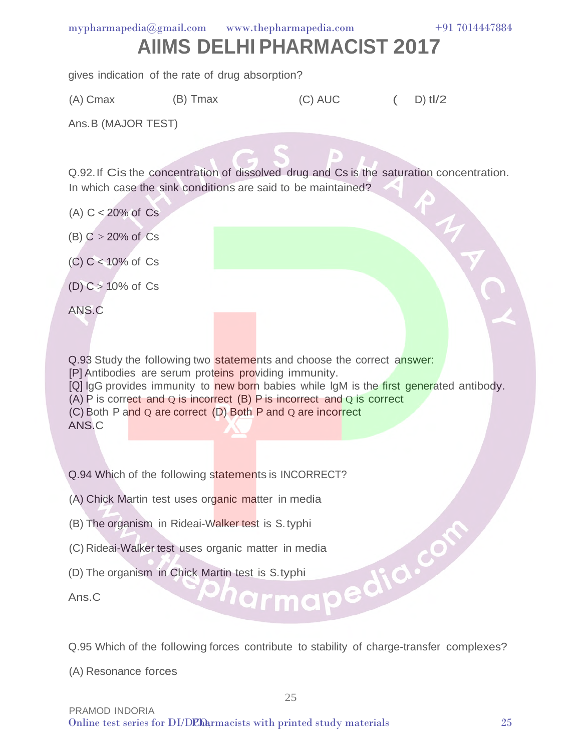#### **AIIMS DELHI PHARMACIST 2017**  $m$ ypharmapedia $@g$ mail.com www.thepharmapedia.com

gives indication of the rate of drug absorption?

(A) Cmax (B) Tmax (C) AUC (D)  $t!/2$ 

Ans.B (MAJOR TEST)

Q.92.If Cis the concentration of dissolved drug and Cs is the saturation concentration. In which case the sink conditions are said to be maintained?

- $(A)$  C < 20% of Cs
- (B)  $C > 20\%$  of Cs
- (C) C < 10% of Cs
- (D)  $C > 10\%$  of  $Cs$

ANS.C

Q.93 Study the following two statements and choose the correct answer: [P] Antibodies are serum proteins providing immunity. [Q] lgG provides immunity to new born babies while IgM is the first generated antibody. (A) P is correct and Q is incorrect (B) P is incorrect and Q is correct (C) Both P and Q are correct (D) Both P and Q are incorrect ANS.C

Q.94 Which of the following statements is INCORRECT?

(A) Chick Martin test uses organic matter in media

- 
- (B) The organism in Rideai-Walker test is S. typhi<br>
(C) Rideai-Walker test uses organic matter in media<br>
(D) The organism in Chick Martin test is S. typhi<br>
Ans. C (C) Rideai-Walker test uses organic matter in media
- (D) The organism in Chick Martin test is S.typhi

Ans.C

Q.95 Which of the following forces contribute to stability of charge-transfer complexes?

(A) Resonance forces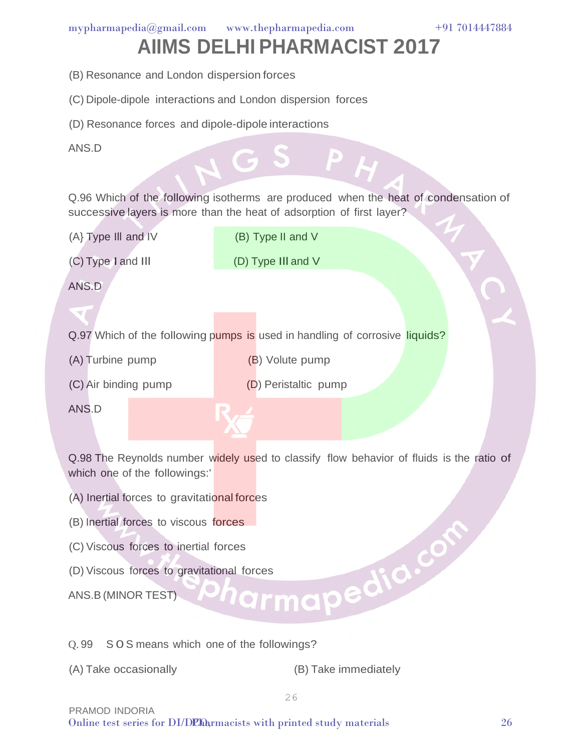#### **AIIMS DELHI PHARMACIST 2017**

- (B) Resonance and London dispersion forces
- (C) Dipole-dipole interactions and London dispersion forces
- (D) Resonance forces and dipole-dipole interactions
- ANS.D

Q.96 Which of the following isotherms are produced when the heat of condensation of successive layers is more than the heat of adsorption of first layer?

(A} Type Ill and IV

(B) Type II and V

(C) Type I and Ill

(D) Type Ill and V

ANS.D

Q.97 Which of the following pumps is used in handling of corrosive liquids?

(A) Turbine pump

- (B) Volute pump
- (C) Air binding pump
- (D) Peristaltic pump

ANS.D

Q.98 The Reynolds number widely used to classify flow behavior of fluids is the ratio of which one of the followings:'

- (A) Inertial forces to gravitational forces
- 
- (C) Viscous forces to inertial forces
- (B) Inertial forces to viscous forces<br>
(C) Viscous forces to inertial forces<br>
(D) Viscous forces to gravitational forces<br>
ANS.B (MINOR TEST) (D) Viscous forces to gravitational forces

ANS.B (MINOR TEST)

Q. 99 S 0 S means which one of the followings?

(A) Take occasionally (B) Take immediately

PRAMOD INDORIA Online test series for DI/DCO, with printed study materials 26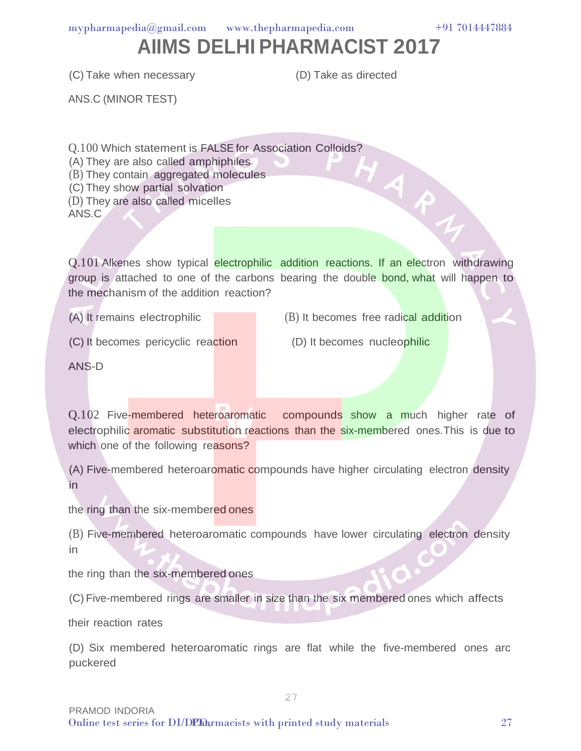#### **AIIMS DELHI PHARMACIST 2017**

(C) Take when necessary

(D) Take as directed

ANS.C (MINOR TEST)

Q.100 Which statement is FALSE for Association Colloids?<br>
(A) They are also called amphiphiles<br>
(B) They contain aggregated molecules<br>
They show partial solvation<br>
inicelles

(A) They are also called amphiphiles

(B) They contain aggregated molecules

(C) They show partial solvation

(D) They are also called micelles

ANS.C

Q.101 Alkenes show typical electrophilic addition reactions. If an electron withdrawing group is attached to one of the carbons bearing the double bond, what will happen to the mechanism of the addition reaction?

(A) It remains electrophilic

(B) It becomes free radical addition

(C) It becomes pericyclic reaction

(D) It becomes nucleophilic

ANS-D

Q.102 Five-membered heteroaromatic compounds show a much higher rate of electrophilic aromatic substitution reactions than the six-membered ones.This is due to which one of the following reasons?

(A) Five-membered heteroaromatic compounds have higher circulating electron density in

the ring than the six-membered ones

(B) Five-membered heteroaromatic compounds have lower circulating electron density in

the ring than the six-membered ones

(C) Five-membered rings are smaller in size than the six membered ones which affects

their reaction rates

(D) Six membered heteroaromatic rings are flat while the five-membered ones arc puckered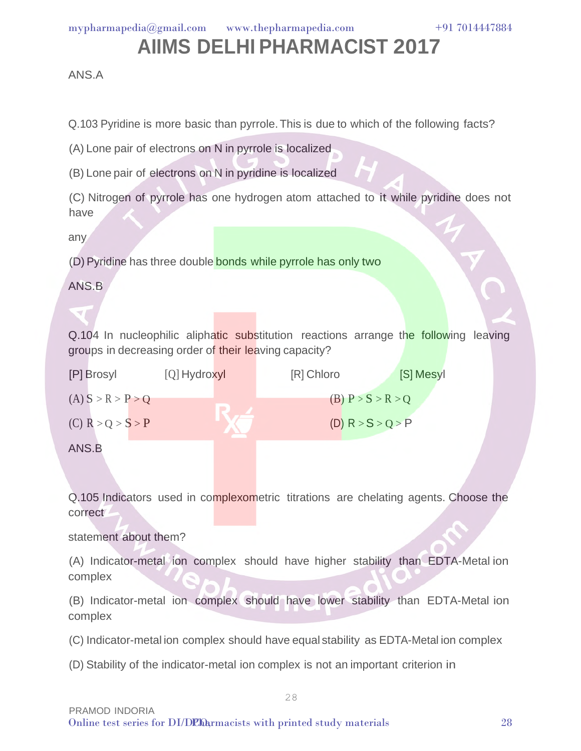#### **AIIMS DELHI PHARMACIST 2017**

ANS.A

Q.103 Pyridine is more basic than pyrrole. This is due to which of the following facts?

(A) Lone pair of electrons on N in pyrrole is localized

(B) Lone pair of electrons on N in pyridine is localized

(C) Nitrogen of pyrrole has one hydrogen atom attached to it while pyridine does not have

any

(D) Pyridine has three double bonds while pyrrole has only two

ANS.B

Q.104 In nucleophilic aliphatic substitution reactions arrange the following leaving groups in decreasing order of their leaving capacity?

| [P] Brosyl          | $[Q]$ Hydroxyl | [R] Chloro          | [S] Mesyl |
|---------------------|----------------|---------------------|-----------|
| (A) S > R > P > Q   |                | (B) $P > S > R > Q$ |           |
| $(C)$ R > Q > S > P |                | (D) $R > S > Q > P$ |           |
| ANS.B               |                |                     |           |

Q.105 Indicators used in complexometric titrations are chelating agents. Choose the correct

statement about them?

(A) Indicator-metal ion complex should have higher stability than EDTA-Metal ion complex

(B) Indicator-metal ion complex should have lower stability than EDTA-Metal ion complex

(C) Indicator-metal ion complex should have equal stability as EDTA-Metal ion complex

28

(D) Stability of the indicator-metal ion complex is not an important criterion in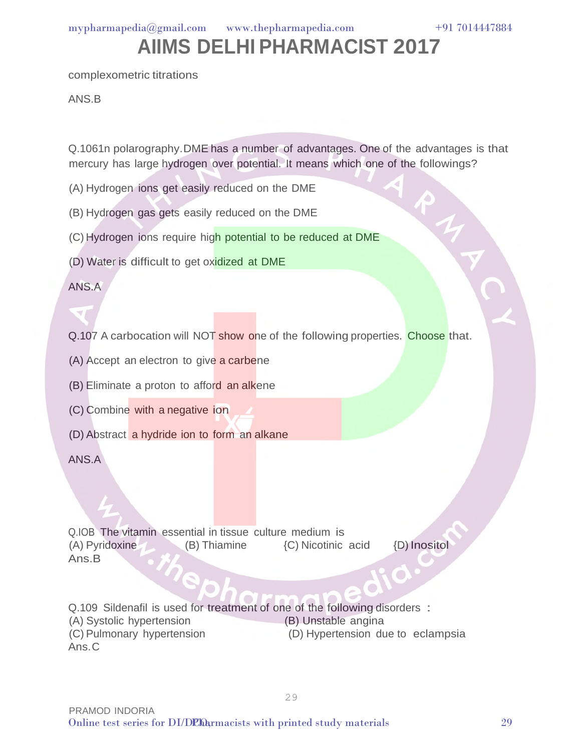complexometric titrations

ANS.B

Q.1061n polarography.DME has a number of advantages. One of the advantages is that mercury has large hydrogen over potential. It means which one of the followings?

- (A) Hydrogen ions get easily reduced on the DME
- (B) Hydrogen gas gets easily reduced on the DME
- (C) Hydrogen ions require high potential to be reduced at DME
- (D) Water is difficult to get oxidized at DME

ANS.A

Q.107 A carbocation will NOT show one of the following properties. Choose that.

- (A) Accept an electron to give a carbene
- (B) Eliminate a proton to afford an alkene
- (C) Combine with a negative ion
- (D) Abstract a hydride ion to form an alkane

ANS.A

Q.IOB The vitamin essential in tissue culture medium is (A) Pyridoxine (B) Thiamine {C) Nicotinic acid Ans.B {D) Inositol

Q.109 Sildenafil is used for treatment of one of the following disorders :<br>(A) Systolic hypertension (B) Unstable angina (A) Systolic hypertension (C) Pulmonary hypertension (D) Hypertension due to eclampsia Ans. C

 $\bigcirc$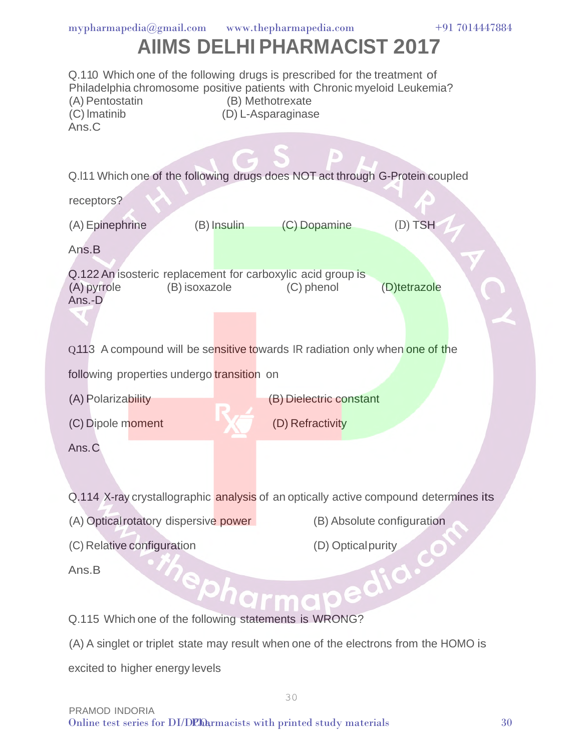| mpharmapedia@gmail.com                                                                                                                                                                                                                      | www.thepharmapedia.com<br>+91 7014447884<br><b>AIIMS DELHI PHARMACIST 2017</b> |  |  |  |  |  |
|---------------------------------------------------------------------------------------------------------------------------------------------------------------------------------------------------------------------------------------------|--------------------------------------------------------------------------------|--|--|--|--|--|
| Q.110 Which one of the following drugs is prescribed for the treatment of<br>Philadelphia chromosome positive patients with Chronic myeloid Leukemia?<br>(A) Pentostatin<br>(B) Methotrexate<br>(C) Imatinib<br>(D) L-Asparaginase<br>Ans.C |                                                                                |  |  |  |  |  |
| receptors?                                                                                                                                                                                                                                  | Q.I11 Which one of the following drugs does NOT act through G-Protein coupled  |  |  |  |  |  |
| (A) Epinephrine<br>(B) Insulin                                                                                                                                                                                                              | $(D)$ TSH<br>(C) Dopamine                                                      |  |  |  |  |  |
| Ans.B                                                                                                                                                                                                                                       |                                                                                |  |  |  |  |  |
| Q.122 An isosteric replacement for carboxylic acid group is<br>(A) pyrrole<br>(B) isoxazole<br>(C) phenol<br>(D)tetrazole<br>Ans.-D                                                                                                         |                                                                                |  |  |  |  |  |
|                                                                                                                                                                                                                                             | Q.113 A compound will be sensitive towards IR radiation only when one of the   |  |  |  |  |  |
| following properties undergo transition on                                                                                                                                                                                                  |                                                                                |  |  |  |  |  |
| (A) Polarizability<br>(B) Dielectric constant                                                                                                                                                                                               |                                                                                |  |  |  |  |  |
| (D) Refractivity<br>(C) Dipole moment                                                                                                                                                                                                       |                                                                                |  |  |  |  |  |
| Ans.C                                                                                                                                                                                                                                       |                                                                                |  |  |  |  |  |
| Q.114 X-ray crystallographic analysis of an optically active compound determines its                                                                                                                                                        |                                                                                |  |  |  |  |  |
| (B) Absolute configuration<br>(A) Optical rotatory dispersive power                                                                                                                                                                         |                                                                                |  |  |  |  |  |
| (C) Relative configuration<br>(D) Optical purity                                                                                                                                                                                            |                                                                                |  |  |  |  |  |
| Ans.B<br>Pepharma                                                                                                                                                                                                                           |                                                                                |  |  |  |  |  |
| Q.115 Which one of the following statements is WRONG?                                                                                                                                                                                       |                                                                                |  |  |  |  |  |
| (A) A singlet or triplet state may result when one of the electrons from the HOMO is                                                                                                                                                        |                                                                                |  |  |  |  |  |

excited to higher energy levels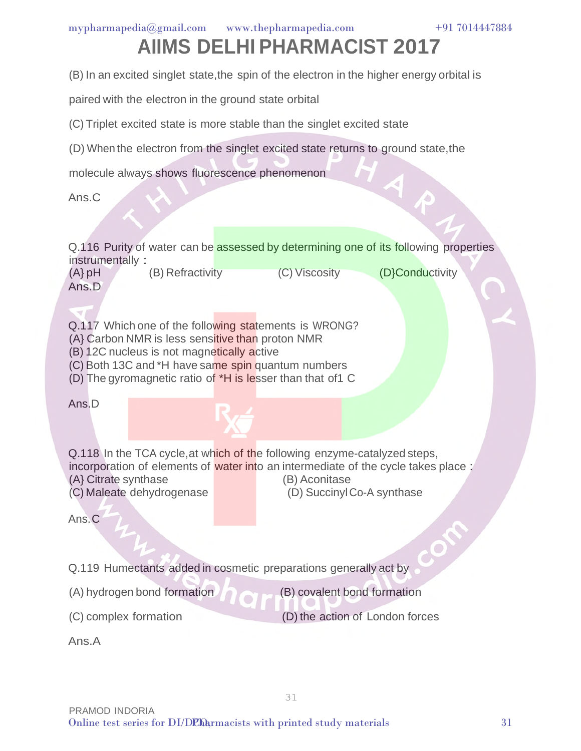# **AIIMS DELHI PHARMACIST 2017**

(B) In an excited singlet state,the spin of the electron in the higher energy orbital is

paired with the electron in the ground state orbital

(C) Triplet excited state is more stable than the singlet excited state

(D) When the electron from the singlet excited state returns to ground state,the

molecule always shows fluorescence phenomenon

Ans.C

Q.116 Purity of water can be assessed by determining one of its following properties instrumentally :

(A} pH (B) Refractivity (C) Viscosity (D}Conductivity Ans.D

Q.117 Which one of the following statements is WRONG?

- (A} Carbon NMR is less sensitive than proton NMR
- (B) 12C nucleus is not magnetically active

(C) Both 13C and \*H have same spin quantum numbers

(D) The gyromagnetic ratio of \*H is lesser than that of1 C

Ans.D

Q.118 In the TCA cycle, at which of the following enzyme-catalyzed steps, incorporation of elements of water into an intermediate of the cycle takes place : (A} Citrate synthase (B) Aconitase (C) Maleate dehydrogenase (D) Succinyl Co-A synthase

Ans. C

Q.119 Humectants added in cosmetic preparations generally act by

(A) hydrogen bond formation

(B) covalent bond formation

CON

(C) complex formation

(D) the action of London forces

Ans.A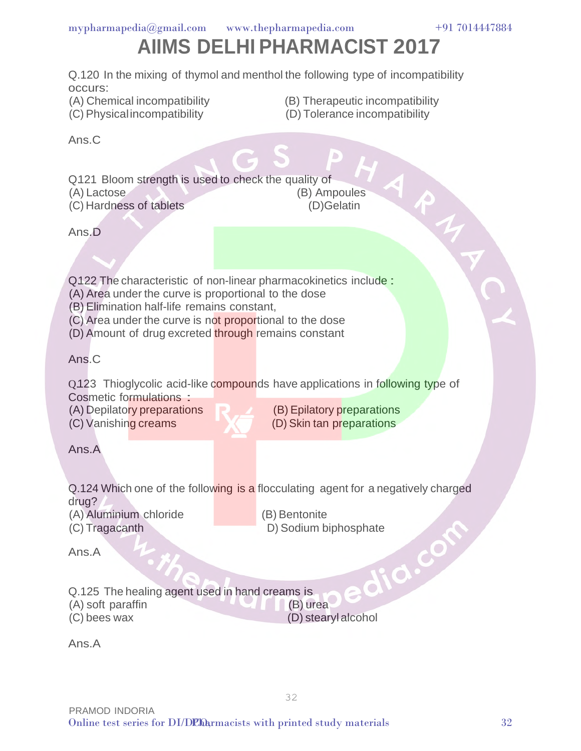

Q.121 Bloom strength is used to check the quality of (A) Lactose (B) Ampoules (C) Hardness of tablets (D)Gelatin

RMA

Ans.D

occurs:

Ans.C

Q.122 The characteristic of non-linear pharmacokinetics include:

- (A) Area under the curve is proportional to the dose
- (B) Elimination half-life remains constant,
- (C) Area under the curve is not proportional to the dose
- (D) Amount of drug excreted through remains constant

Ans.C

Q.123 Thioglycolic acid-like compounds have applications in following type of Cosmetic formulations :

(A) Depilatory preparations (C) Vanishing creams

(B) Epilatory preparations (D) Skin tan preparations

Ans.A

Q.124 Which one of the following is a flocculating agent for a negatively charged drug?

- (A) Aluminium chloride (C) Tragacanth
- (B) Bentonite

32

D) Sodium biphosphate<br>Creame

 $\bigcirc$ 

Ans.A

Q.125 The healing agent used in hand creams is (A) soft paraffin (B) urea (C) bees wax (D) stearylalcohol

Ans.A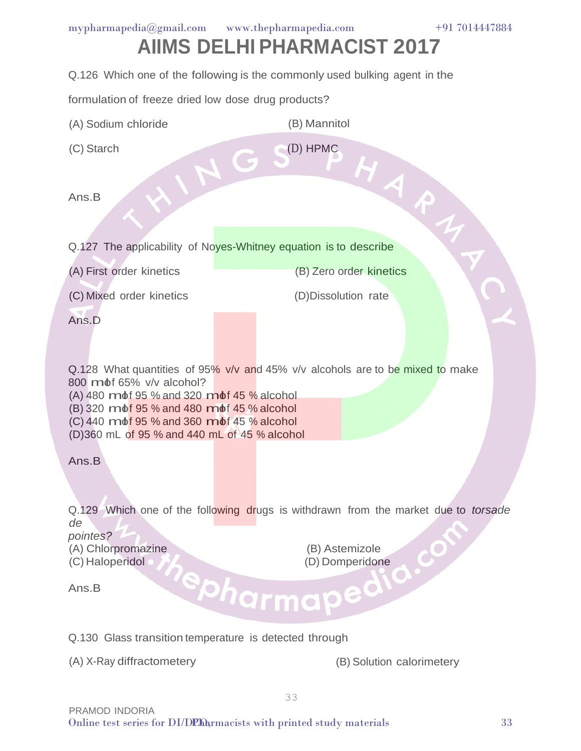# **AIIMS DELHI PHARMACIST 2017**

Q.126 Which one of the following is the commonly used bulking agent in the

formulation of freeze dried low dose drug products?

- (A) Sodium chloride (B) Mannitol
- (C) Starch

(D) HPMC

Ans.B

(C) Starch<br>Ans.B<br>Q.127 The applicability of Noves-Whitney equation is to describe

(A) First order kinetics

(B) Zero order kinetics

(C) Mixed order kinetics

(D)Dissolution rate

Ans.D

Q.128 What quantities of 95% v/v and 45% v/v alcohols are to be mixed to make 800 mot 65% v/v alcohol?

(A) 480 molf 95 % and 320 molf 45 % alcohol

(B) 320 mbt 95 % and 480 mbt 45 % alcohol

 $(C)$  440 md  $f$  95 % and 360 md  $f$  45 % alcohol

(D)360 mL of 95 % and 440 mL of 45 % alcohol

Ans.B

Q.129 Which one of the following drugs is withdrawn from the market due to *torsade de*

*pointes?*

(A) Chlorpromazine (C) Haloperidol

(B) Astemizole (D) Domperidone

Ans.B

Q.130 Glass transition temperature is detected through

(A) X-Ray diffractometery (B) Solution calorimetery

Õ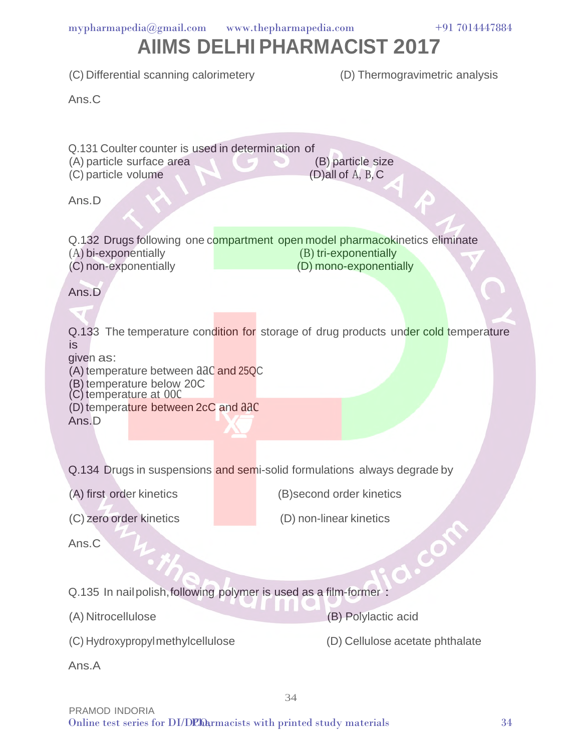| (C) Differential scanning calorimetery                                                                                                                                |  | (D) Thermogravimetric analysis                                                                                                 |  |  |
|-----------------------------------------------------------------------------------------------------------------------------------------------------------------------|--|--------------------------------------------------------------------------------------------------------------------------------|--|--|
| Ans.C                                                                                                                                                                 |  |                                                                                                                                |  |  |
|                                                                                                                                                                       |  |                                                                                                                                |  |  |
| Q.131 Coulter counter is used in determination of<br>(A) particle surface area<br>(C) particle volume<br>Ans.D                                                        |  | (B) particle size<br>$(D)$ all of A, B, C                                                                                      |  |  |
|                                                                                                                                                                       |  |                                                                                                                                |  |  |
| (A) bi-exponentially<br>(C) non-exponentially                                                                                                                         |  | Q.132 Drugs following one compartment open model pharmacokinetics eliminate<br>(B) tri-exponentially<br>(D) mono-exponentially |  |  |
| Ans.D                                                                                                                                                                 |  |                                                                                                                                |  |  |
|                                                                                                                                                                       |  |                                                                                                                                |  |  |
| <b>is</b><br>given as:<br>(A) temperature between aac and 25QC<br>(B) temperature below 20C<br>(C) temperature at 000<br>(D) temperature between 2cC and aac<br>Ans.D |  | Q.133 The temperature condition for storage of drug products under cold temperature                                            |  |  |
|                                                                                                                                                                       |  |                                                                                                                                |  |  |
|                                                                                                                                                                       |  | Q.134 Drugs in suspensions and semi-solid formulations always degrade by                                                       |  |  |
| (A) first order kinetics                                                                                                                                              |  | (B)second order kinetics                                                                                                       |  |  |
| (C) zero order kinetics                                                                                                                                               |  | (D) non-linear kinetics                                                                                                        |  |  |
| Ans.C                                                                                                                                                                 |  | COM                                                                                                                            |  |  |
|                                                                                                                                                                       |  | $\bullet$                                                                                                                      |  |  |
| Q.135 In nail polish, following polymer is used as a film-former :                                                                                                    |  |                                                                                                                                |  |  |
| (A) Nitrocellulose                                                                                                                                                    |  | (B) Polylactic acid                                                                                                            |  |  |
| (C) Hydroxypropylmethylcellulose                                                                                                                                      |  | (D) Cellulose acetate phthalate                                                                                                |  |  |
| Ans.A                                                                                                                                                                 |  |                                                                                                                                |  |  |